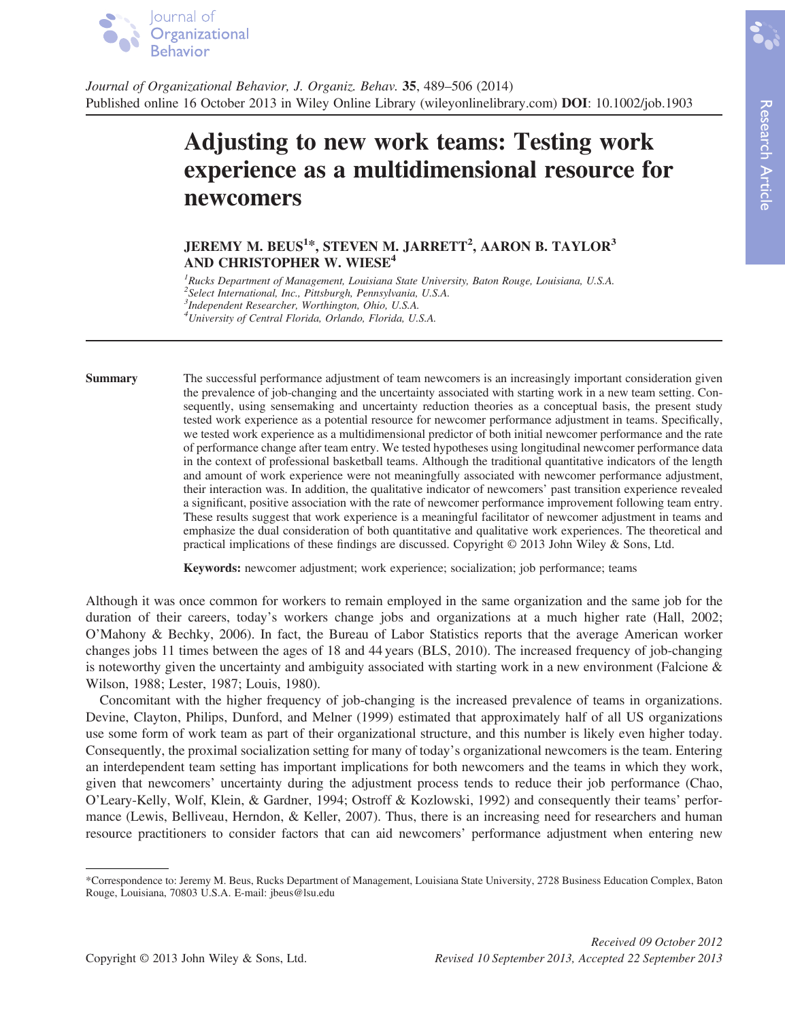

Journal of Organizational Behavior, J. Organiz. Behav. 35, 489–506 (2014) Published online 16 October 2013 in Wiley Online Library (wileyonlinelibrary.com) DOI: 10.1002/job.1903

# Adjusting to new work teams: Testing work experience as a multidimensional resource for newcomers

## JEREMY M. BEUS<sup>1\*</sup>, STEVEN M. JARRETT<sup>2</sup>, AARON B. TAYLOR<sup>3</sup> AND CHRISTOPHER W. WIESE<sup>4</sup>

<sup>1</sup>Rucks Department of Management, Louisiana State University, Baton Rouge, Louisiana, U.S.A. <sup>2</sup>Select International, Inc., Pittsburgh, Pennsylvania, U.S.A. 3 Independent Researcher, Worthington, Ohio, U.S.A. 4 University of Central Florida, Orlando, Florida, U.S.A.

Summary The successful performance adjustment of team newcomers is an increasingly important consideration given the prevalence of job-changing and the uncertainty associated with starting work in a new team setting. Consequently, using sensemaking and uncertainty reduction theories as a conceptual basis, the present study tested work experience as a potential resource for newcomer performance adjustment in teams. Specifically, we tested work experience as a multidimensional predictor of both initial newcomer performance and the rate of performance change after team entry. We tested hypotheses using longitudinal newcomer performance data in the context of professional basketball teams. Although the traditional quantitative indicators of the length and amount of work experience were not meaningfully associated with newcomer performance adjustment, their interaction was. In addition, the qualitative indicator of newcomers' past transition experience revealed a significant, positive association with the rate of newcomer performance improvement following team entry. These results suggest that work experience is a meaningful facilitator of newcomer adjustment in teams and emphasize the dual consideration of both quantitative and qualitative work experiences. The theoretical and practical implications of these findings are discussed. Copyright © 2013 John Wiley & Sons, Ltd.

Keywords: newcomer adjustment; work experience; socialization; job performance; teams

Although it was once common for workers to remain employed in the same organization and the same job for the duration of their careers, today's workers change jobs and organizations at a much higher rate (Hall, 2002; O'Mahony & Bechky, 2006). In fact, the Bureau of Labor Statistics reports that the average American worker changes jobs 11 times between the ages of 18 and 44 years (BLS, 2010). The increased frequency of job-changing is noteworthy given the uncertainty and ambiguity associated with starting work in a new environment (Falcione  $\&$ Wilson, 1988; Lester, 1987; Louis, 1980).

Concomitant with the higher frequency of job-changing is the increased prevalence of teams in organizations. Devine, Clayton, Philips, Dunford, and Melner (1999) estimated that approximately half of all US organizations use some form of work team as part of their organizational structure, and this number is likely even higher today. Consequently, the proximal socialization setting for many of today's organizational newcomers is the team. Entering an interdependent team setting has important implications for both newcomers and the teams in which they work, given that newcomers' uncertainty during the adjustment process tends to reduce their job performance (Chao, O'Leary-Kelly, Wolf, Klein, & Gardner, 1994; Ostroff & Kozlowski, 1992) and consequently their teams' performance (Lewis, Belliveau, Herndon, & Keller, 2007). Thus, there is an increasing need for researchers and human resource practitioners to consider factors that can aid newcomers' performance adjustment when entering new

<sup>\*</sup>Correspondence to: Jeremy M. Beus, Rucks Department of Management, Louisiana State University, 2728 Business Education Complex, Baton Rouge, Louisiana, 70803 U.S.A. E-mail: jbeus@lsu.edu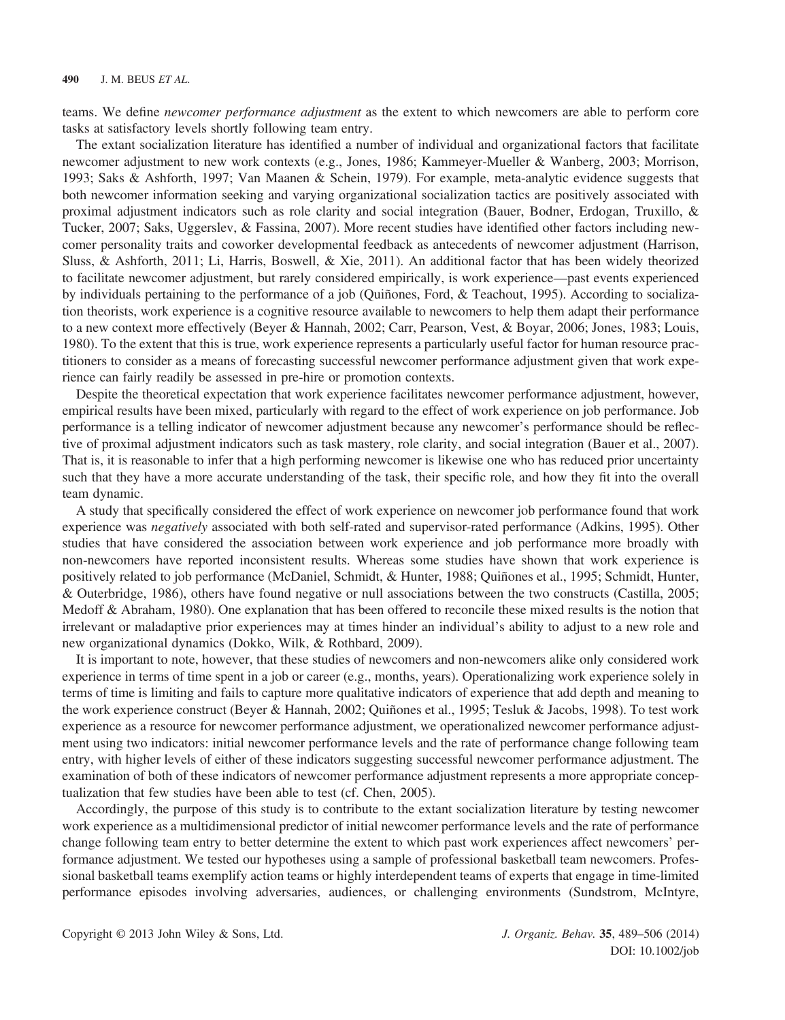teams. We define newcomer performance adjustment as the extent to which newcomers are able to perform core tasks at satisfactory levels shortly following team entry.

The extant socialization literature has identified a number of individual and organizational factors that facilitate newcomer adjustment to new work contexts (e.g., Jones, 1986; Kammeyer-Mueller & Wanberg, 2003; Morrison, 1993; Saks & Ashforth, 1997; Van Maanen & Schein, 1979). For example, meta-analytic evidence suggests that both newcomer information seeking and varying organizational socialization tactics are positively associated with proximal adjustment indicators such as role clarity and social integration (Bauer, Bodner, Erdogan, Truxillo, & Tucker, 2007; Saks, Uggerslev, & Fassina, 2007). More recent studies have identified other factors including newcomer personality traits and coworker developmental feedback as antecedents of newcomer adjustment (Harrison, Sluss, & Ashforth, 2011; Li, Harris, Boswell, & Xie, 2011). An additional factor that has been widely theorized to facilitate newcomer adjustment, but rarely considered empirically, is work experience—past events experienced by individuals pertaining to the performance of a job (Quiñones, Ford, & Teachout, 1995). According to socialization theorists, work experience is a cognitive resource available to newcomers to help them adapt their performance to a new context more effectively (Beyer & Hannah, 2002; Carr, Pearson, Vest, & Boyar, 2006; Jones, 1983; Louis, 1980). To the extent that this is true, work experience represents a particularly useful factor for human resource practitioners to consider as a means of forecasting successful newcomer performance adjustment given that work experience can fairly readily be assessed in pre-hire or promotion contexts.

Despite the theoretical expectation that work experience facilitates newcomer performance adjustment, however, empirical results have been mixed, particularly with regard to the effect of work experience on job performance. Job performance is a telling indicator of newcomer adjustment because any newcomer's performance should be reflective of proximal adjustment indicators such as task mastery, role clarity, and social integration (Bauer et al., 2007). That is, it is reasonable to infer that a high performing newcomer is likewise one who has reduced prior uncertainty such that they have a more accurate understanding of the task, their specific role, and how they fit into the overall team dynamic.

A study that specifically considered the effect of work experience on newcomer job performance found that work experience was negatively associated with both self-rated and supervisor-rated performance (Adkins, 1995). Other studies that have considered the association between work experience and job performance more broadly with non-newcomers have reported inconsistent results. Whereas some studies have shown that work experience is positively related to job performance (McDaniel, Schmidt, & Hunter, 1988; Quiñones et al., 1995; Schmidt, Hunter, & Outerbridge, 1986), others have found negative or null associations between the two constructs (Castilla, 2005; Medoff & Abraham, 1980). One explanation that has been offered to reconcile these mixed results is the notion that irrelevant or maladaptive prior experiences may at times hinder an individual's ability to adjust to a new role and new organizational dynamics (Dokko, Wilk, & Rothbard, 2009).

It is important to note, however, that these studies of newcomers and non-newcomers alike only considered work experience in terms of time spent in a job or career (e.g., months, years). Operationalizing work experience solely in terms of time is limiting and fails to capture more qualitative indicators of experience that add depth and meaning to the work experience construct (Beyer & Hannah, 2002; Quiñones et al., 1995; Tesluk & Jacobs, 1998). To test work experience as a resource for newcomer performance adjustment, we operationalized newcomer performance adjustment using two indicators: initial newcomer performance levels and the rate of performance change following team entry, with higher levels of either of these indicators suggesting successful newcomer performance adjustment. The examination of both of these indicators of newcomer performance adjustment represents a more appropriate conceptualization that few studies have been able to test (cf. Chen, 2005).

Accordingly, the purpose of this study is to contribute to the extant socialization literature by testing newcomer work experience as a multidimensional predictor of initial newcomer performance levels and the rate of performance change following team entry to better determine the extent to which past work experiences affect newcomers' performance adjustment. We tested our hypotheses using a sample of professional basketball team newcomers. Professional basketball teams exemplify action teams or highly interdependent teams of experts that engage in time-limited performance episodes involving adversaries, audiences, or challenging environments (Sundstrom, McIntyre,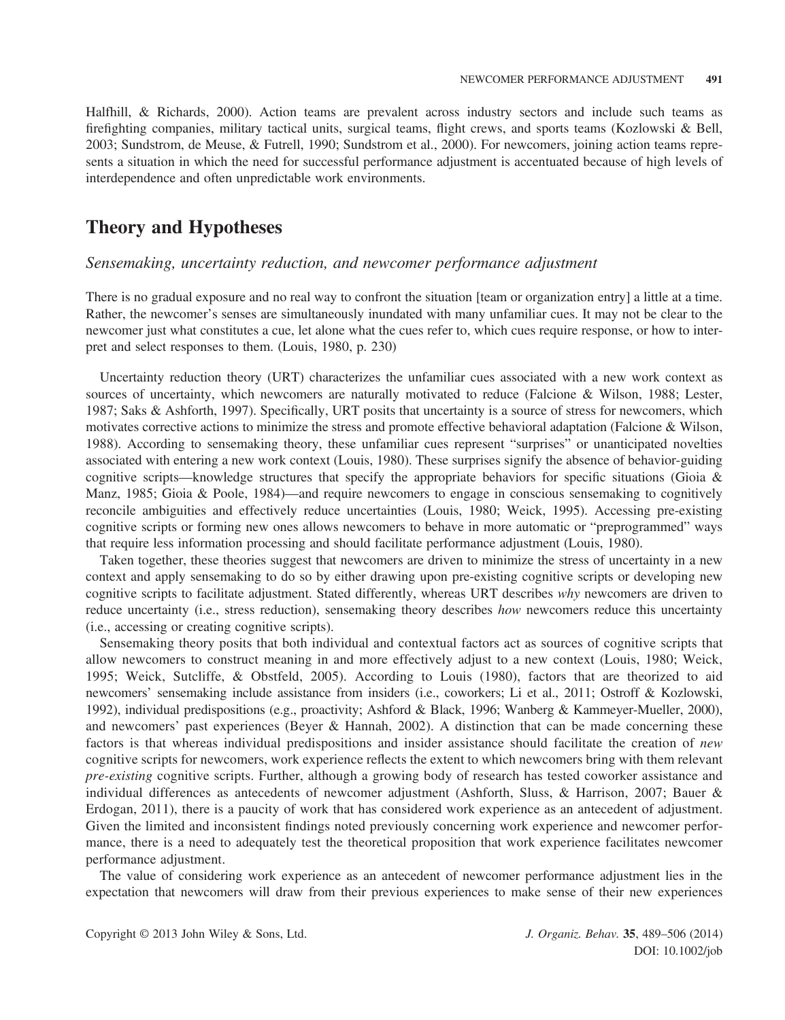Halfhill, & Richards, 2000). Action teams are prevalent across industry sectors and include such teams as firefighting companies, military tactical units, surgical teams, flight crews, and sports teams (Kozlowski & Bell, 2003; Sundstrom, de Meuse, & Futrell, 1990; Sundstrom et al., 2000). For newcomers, joining action teams represents a situation in which the need for successful performance adjustment is accentuated because of high levels of interdependence and often unpredictable work environments.

## Theory and Hypotheses

#### Sensemaking, uncertainty reduction, and newcomer performance adjustment

There is no gradual exposure and no real way to confront the situation [team or organization entry] a little at a time. Rather, the newcomer's senses are simultaneously inundated with many unfamiliar cues. It may not be clear to the newcomer just what constitutes a cue, let alone what the cues refer to, which cues require response, or how to interpret and select responses to them. (Louis, 1980, p. 230)

Uncertainty reduction theory (URT) characterizes the unfamiliar cues associated with a new work context as sources of uncertainty, which newcomers are naturally motivated to reduce (Falcione & Wilson, 1988; Lester, 1987; Saks & Ashforth, 1997). Specifically, URT posits that uncertainty is a source of stress for newcomers, which motivates corrective actions to minimize the stress and promote effective behavioral adaptation (Falcione & Wilson, 1988). According to sensemaking theory, these unfamiliar cues represent "surprises" or unanticipated novelties associated with entering a new work context (Louis, 1980). These surprises signify the absence of behavior-guiding cognitive scripts—knowledge structures that specify the appropriate behaviors for specific situations (Gioia & Manz, 1985; Gioia & Poole, 1984)—and require newcomers to engage in conscious sensemaking to cognitively reconcile ambiguities and effectively reduce uncertainties (Louis, 1980; Weick, 1995). Accessing pre-existing cognitive scripts or forming new ones allows newcomers to behave in more automatic or "preprogrammed" ways that require less information processing and should facilitate performance adjustment (Louis, 1980).

Taken together, these theories suggest that newcomers are driven to minimize the stress of uncertainty in a new context and apply sensemaking to do so by either drawing upon pre-existing cognitive scripts or developing new cognitive scripts to facilitate adjustment. Stated differently, whereas URT describes why newcomers are driven to reduce uncertainty (i.e., stress reduction), sensemaking theory describes how newcomers reduce this uncertainty (i.e., accessing or creating cognitive scripts).

Sensemaking theory posits that both individual and contextual factors act as sources of cognitive scripts that allow newcomers to construct meaning in and more effectively adjust to a new context (Louis, 1980; Weick, 1995; Weick, Sutcliffe, & Obstfeld, 2005). According to Louis (1980), factors that are theorized to aid newcomers' sensemaking include assistance from insiders (i.e., coworkers; Li et al., 2011; Ostroff & Kozlowski, 1992), individual predispositions (e.g., proactivity; Ashford & Black, 1996; Wanberg & Kammeyer-Mueller, 2000), and newcomers' past experiences (Beyer & Hannah, 2002). A distinction that can be made concerning these factors is that whereas individual predispositions and insider assistance should facilitate the creation of new cognitive scripts for newcomers, work experience reflects the extent to which newcomers bring with them relevant pre-existing cognitive scripts. Further, although a growing body of research has tested coworker assistance and individual differences as antecedents of newcomer adjustment (Ashforth, Sluss, & Harrison, 2007; Bauer & Erdogan, 2011), there is a paucity of work that has considered work experience as an antecedent of adjustment. Given the limited and inconsistent findings noted previously concerning work experience and newcomer performance, there is a need to adequately test the theoretical proposition that work experience facilitates newcomer performance adjustment.

The value of considering work experience as an antecedent of newcomer performance adjustment lies in the expectation that newcomers will draw from their previous experiences to make sense of their new experiences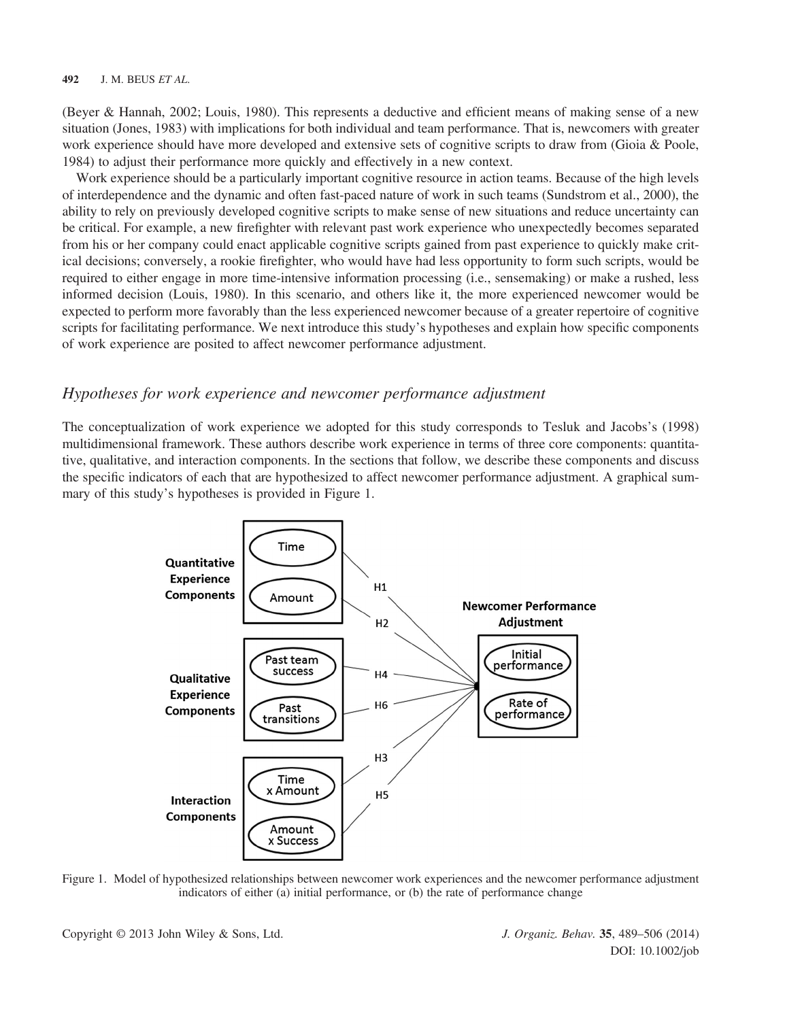(Beyer & Hannah, 2002; Louis, 1980). This represents a deductive and efficient means of making sense of a new situation (Jones, 1983) with implications for both individual and team performance. That is, newcomers with greater work experience should have more developed and extensive sets of cognitive scripts to draw from (Gioia & Poole, 1984) to adjust their performance more quickly and effectively in a new context.

Work experience should be a particularly important cognitive resource in action teams. Because of the high levels of interdependence and the dynamic and often fast-paced nature of work in such teams (Sundstrom et al., 2000), the ability to rely on previously developed cognitive scripts to make sense of new situations and reduce uncertainty can be critical. For example, a new firefighter with relevant past work experience who unexpectedly becomes separated from his or her company could enact applicable cognitive scripts gained from past experience to quickly make critical decisions; conversely, a rookie firefighter, who would have had less opportunity to form such scripts, would be required to either engage in more time-intensive information processing (i.e., sensemaking) or make a rushed, less informed decision (Louis, 1980). In this scenario, and others like it, the more experienced newcomer would be expected to perform more favorably than the less experienced newcomer because of a greater repertoire of cognitive scripts for facilitating performance. We next introduce this study's hypotheses and explain how specific components of work experience are posited to affect newcomer performance adjustment.

## Hypotheses for work experience and newcomer performance adjustment

The conceptualization of work experience we adopted for this study corresponds to Tesluk and Jacobs's (1998) multidimensional framework. These authors describe work experience in terms of three core components: quantitative, qualitative, and interaction components. In the sections that follow, we describe these components and discuss the specific indicators of each that are hypothesized to affect newcomer performance adjustment. A graphical summary of this study's hypotheses is provided in Figure 1.



Figure 1. Model of hypothesized relationships between newcomer work experiences and the newcomer performance adjustment indicators of either (a) initial performance, or (b) the rate of performance change

Copyright © 2013 John Wiley & Sons, Ltd. J. Organiz. Behav. 35, 489–506 (2014)

DOI: 10.1002/job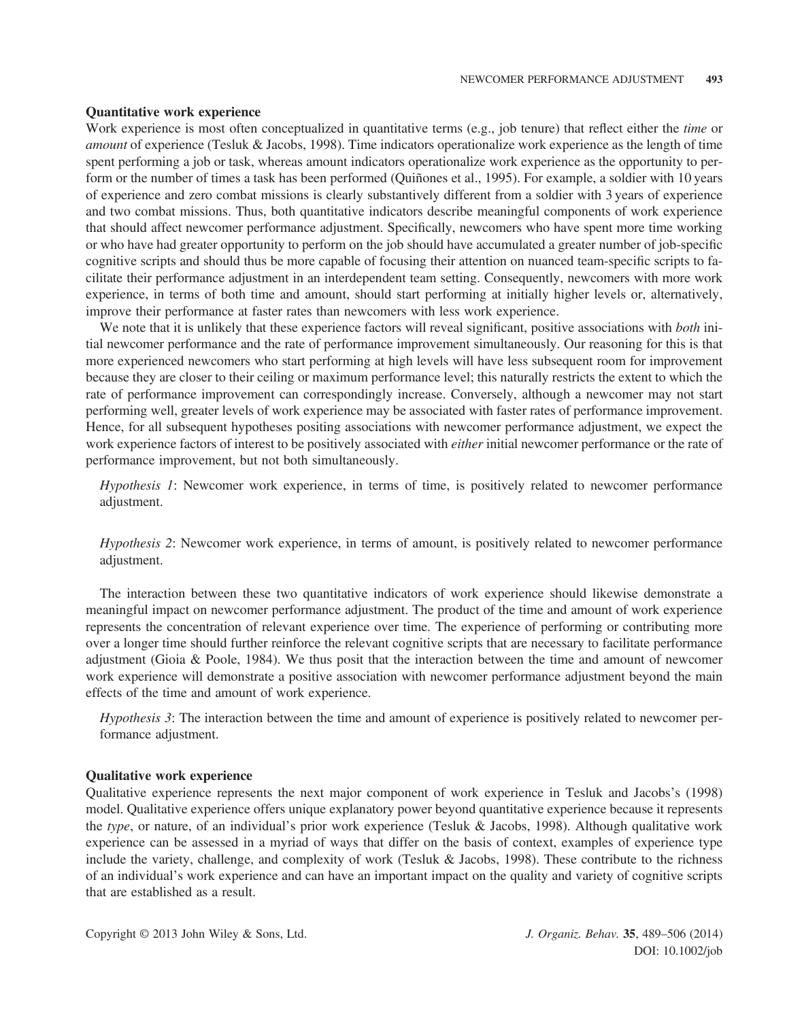#### Quantitative work experience

Work experience is most often conceptualized in quantitative terms (e.g., job tenure) that reflect either the *time* or amount of experience (Tesluk & Jacobs, 1998). Time indicators operationalize work experience as the length of time spent performing a job or task, whereas amount indicators operationalize work experience as the opportunity to perform or the number of times a task has been performed (Quiñones et al., 1995). For example, a soldier with 10 years of experience and zero combat missions is clearly substantively different from a soldier with 3 years of experience and two combat missions. Thus, both quantitative indicators describe meaningful components of work experience that should affect newcomer performance adjustment. Specifically, newcomers who have spent more time working or who have had greater opportunity to perform on the job should have accumulated a greater number of job-specific cognitive scripts and should thus be more capable of focusing their attention on nuanced team-specific scripts to facilitate their performance adjustment in an interdependent team setting. Consequently, newcomers with more work experience, in terms of both time and amount, should start performing at initially higher levels or, alternatively, improve their performance at faster rates than newcomers with less work experience.

We note that it is unlikely that these experience factors will reveal significant, positive associations with *both* initial newcomer performance and the rate of performance improvement simultaneously. Our reasoning for this is that more experienced newcomers who start performing at high levels will have less subsequent room for improvement because they are closer to their ceiling or maximum performance level; this naturally restricts the extent to which the rate of performance improvement can correspondingly increase. Conversely, although a newcomer may not start performing well, greater levels of work experience may be associated with faster rates of performance improvement. Hence, for all subsequent hypotheses positing associations with newcomer performance adjustment, we expect the work experience factors of interest to be positively associated with *either* initial newcomer performance or the rate of performance improvement, but not both simultaneously.

Hypothesis 1: Newcomer work experience, in terms of time, is positively related to newcomer performance adjustment.

Hypothesis 2: Newcomer work experience, in terms of amount, is positively related to newcomer performance adjustment.

The interaction between these two quantitative indicators of work experience should likewise demonstrate a meaningful impact on newcomer performance adjustment. The product of the time and amount of work experience represents the concentration of relevant experience over time. The experience of performing or contributing more over a longer time should further reinforce the relevant cognitive scripts that are necessary to facilitate performance adjustment (Gioia & Poole, 1984). We thus posit that the interaction between the time and amount of newcomer work experience will demonstrate a positive association with newcomer performance adjustment beyond the main effects of the time and amount of work experience.

Hypothesis 3: The interaction between the time and amount of experience is positively related to newcomer performance adjustment.

#### Qualitative work experience

Qualitative experience represents the next major component of work experience in Tesluk and Jacobs's (1998) model. Qualitative experience offers unique explanatory power beyond quantitative experience because it represents the type, or nature, of an individual's prior work experience (Tesluk & Jacobs, 1998). Although qualitative work experience can be assessed in a myriad of ways that differ on the basis of context, examples of experience type include the variety, challenge, and complexity of work (Tesluk & Jacobs, 1998). These contribute to the richness of an individual's work experience and can have an important impact on the quality and variety of cognitive scripts that are established as a result.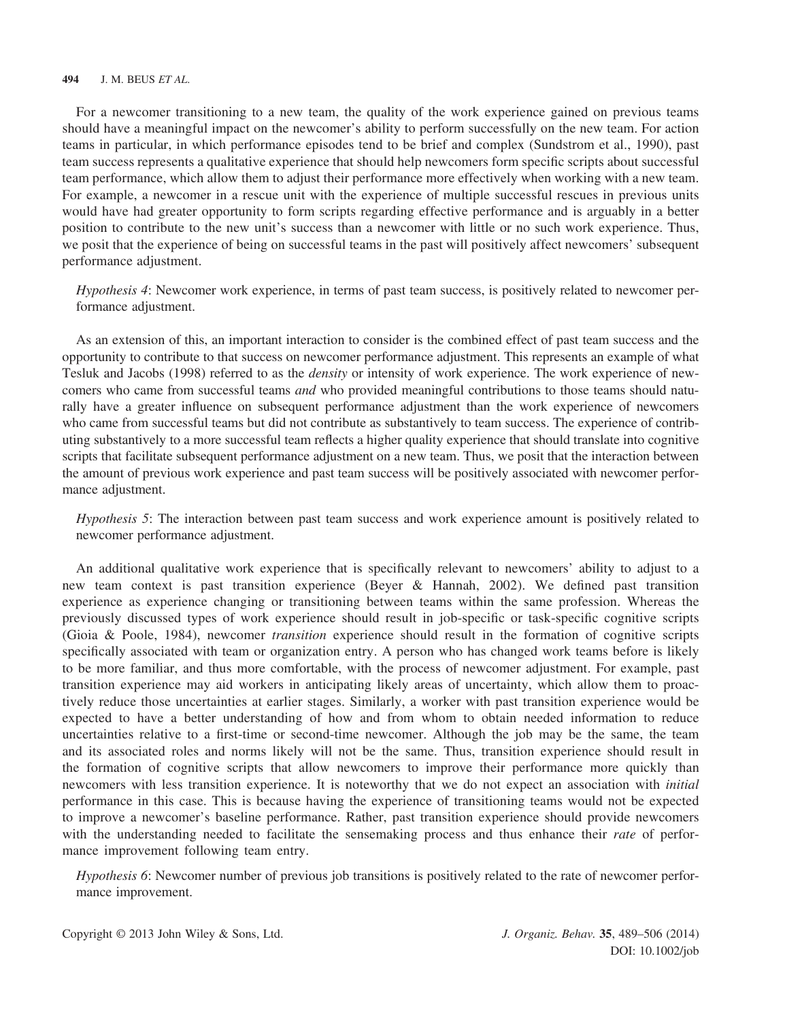For a newcomer transitioning to a new team, the quality of the work experience gained on previous teams should have a meaningful impact on the newcomer's ability to perform successfully on the new team. For action teams in particular, in which performance episodes tend to be brief and complex (Sundstrom et al., 1990), past team success represents a qualitative experience that should help newcomers form specific scripts about successful team performance, which allow them to adjust their performance more effectively when working with a new team. For example, a newcomer in a rescue unit with the experience of multiple successful rescues in previous units would have had greater opportunity to form scripts regarding effective performance and is arguably in a better position to contribute to the new unit's success than a newcomer with little or no such work experience. Thus, we posit that the experience of being on successful teams in the past will positively affect newcomers' subsequent performance adjustment.

Hypothesis 4: Newcomer work experience, in terms of past team success, is positively related to newcomer performance adjustment.

As an extension of this, an important interaction to consider is the combined effect of past team success and the opportunity to contribute to that success on newcomer performance adjustment. This represents an example of what Tesluk and Jacobs (1998) referred to as the *density* or intensity of work experience. The work experience of newcomers who came from successful teams *and* who provided meaningful contributions to those teams should naturally have a greater influence on subsequent performance adjustment than the work experience of newcomers who came from successful teams but did not contribute as substantively to team success. The experience of contributing substantively to a more successful team reflects a higher quality experience that should translate into cognitive scripts that facilitate subsequent performance adjustment on a new team. Thus, we posit that the interaction between the amount of previous work experience and past team success will be positively associated with newcomer performance adjustment.

Hypothesis 5: The interaction between past team success and work experience amount is positively related to newcomer performance adjustment.

An additional qualitative work experience that is specifically relevant to newcomers' ability to adjust to a new team context is past transition experience (Beyer & Hannah, 2002). We defined past transition experience as experience changing or transitioning between teams within the same profession. Whereas the previously discussed types of work experience should result in job-specific or task-specific cognitive scripts (Gioia & Poole, 1984), newcomer transition experience should result in the formation of cognitive scripts specifically associated with team or organization entry. A person who has changed work teams before is likely to be more familiar, and thus more comfortable, with the process of newcomer adjustment. For example, past transition experience may aid workers in anticipating likely areas of uncertainty, which allow them to proactively reduce those uncertainties at earlier stages. Similarly, a worker with past transition experience would be expected to have a better understanding of how and from whom to obtain needed information to reduce uncertainties relative to a first-time or second-time newcomer. Although the job may be the same, the team and its associated roles and norms likely will not be the same. Thus, transition experience should result in the formation of cognitive scripts that allow newcomers to improve their performance more quickly than newcomers with less transition experience. It is noteworthy that we do not expect an association with *initial* performance in this case. This is because having the experience of transitioning teams would not be expected to improve a newcomer's baseline performance. Rather, past transition experience should provide newcomers with the understanding needed to facilitate the sensemaking process and thus enhance their *rate* of performance improvement following team entry.

Hypothesis 6: Newcomer number of previous job transitions is positively related to the rate of newcomer performance improvement.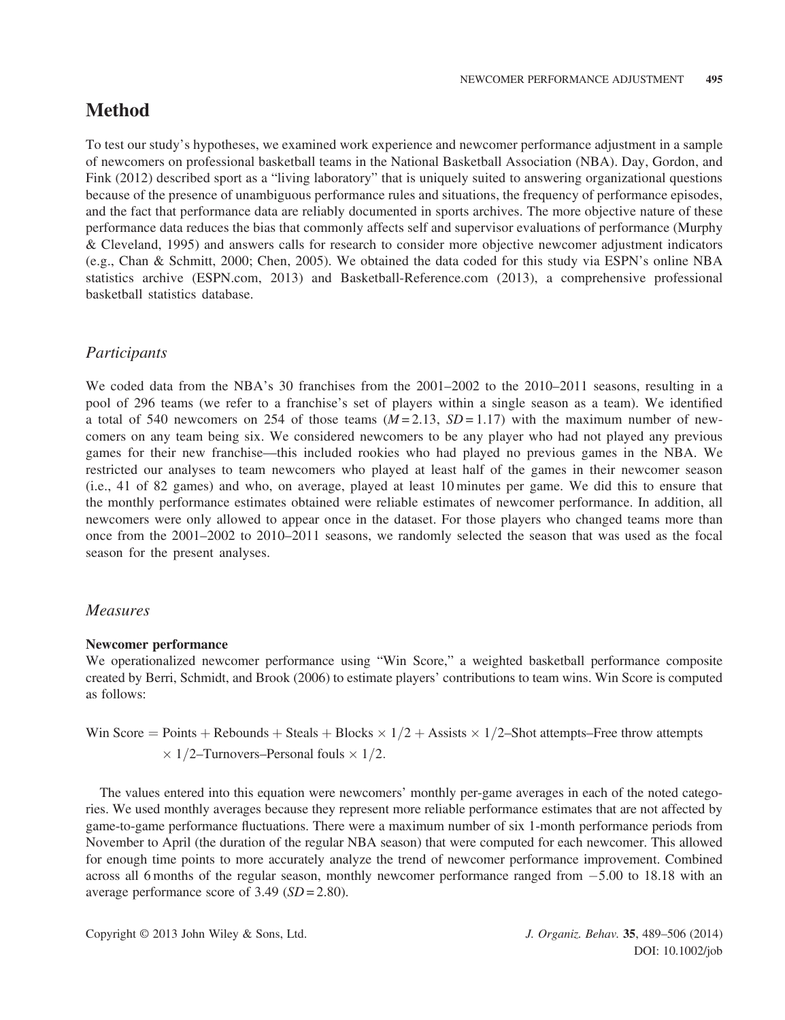## Method

To test our study's hypotheses, we examined work experience and newcomer performance adjustment in a sample of newcomers on professional basketball teams in the National Basketball Association (NBA). Day, Gordon, and Fink (2012) described sport as a "living laboratory" that is uniquely suited to answering organizational questions because of the presence of unambiguous performance rules and situations, the frequency of performance episodes, and the fact that performance data are reliably documented in sports archives. The more objective nature of these performance data reduces the bias that commonly affects self and supervisor evaluations of performance (Murphy & Cleveland, 1995) and answers calls for research to consider more objective newcomer adjustment indicators (e.g., Chan & Schmitt, 2000; Chen, 2005). We obtained the data coded for this study via ESPN's online NBA statistics archive (ESPN.com, 2013) and Basketball-Reference.com (2013), a comprehensive professional basketball statistics database.

## Participants

We coded data from the NBA's 30 franchises from the 2001–2002 to the 2010–2011 seasons, resulting in a pool of 296 teams (we refer to a franchise's set of players within a single season as a team). We identified a total of 540 newcomers on 254 of those teams  $(M=2.13, SD=1.17)$  with the maximum number of newcomers on any team being six. We considered newcomers to be any player who had not played any previous games for their new franchise—this included rookies who had played no previous games in the NBA. We restricted our analyses to team newcomers who played at least half of the games in their newcomer season (i.e., 41 of 82 games) and who, on average, played at least 10 minutes per game. We did this to ensure that the monthly performance estimates obtained were reliable estimates of newcomer performance. In addition, all newcomers were only allowed to appear once in the dataset. For those players who changed teams more than once from the 2001–2002 to 2010–2011 seasons, we randomly selected the season that was used as the focal season for the present analyses.

## Measures

#### Newcomer performance

We operationalized newcomer performance using "Win Score," a weighted basketball performance composite created by Berri, Schmidt, and Brook (2006) to estimate players' contributions to team wins. Win Score is computed as follows:

Win Score = Points + Rebounds + Steals + Blocks × 
$$
1/2
$$
 + Assists ×  $1/2$ –Short attempts–Free throw attempts ×  $1/2$ –Turnovers–Personal fouls ×  $1/2$ .

The values entered into this equation were newcomers' monthly per-game averages in each of the noted categories. We used monthly averages because they represent more reliable performance estimates that are not affected by game-to-game performance fluctuations. There were a maximum number of six 1-month performance periods from November to April (the duration of the regular NBA season) that were computed for each newcomer. This allowed for enough time points to more accurately analyze the trend of newcomer performance improvement. Combined across all 6 months of the regular season, monthly newcomer performance ranged from  $-5.00$  to 18.18 with an average performance score of  $3.49$  ( $SD = 2.80$ ).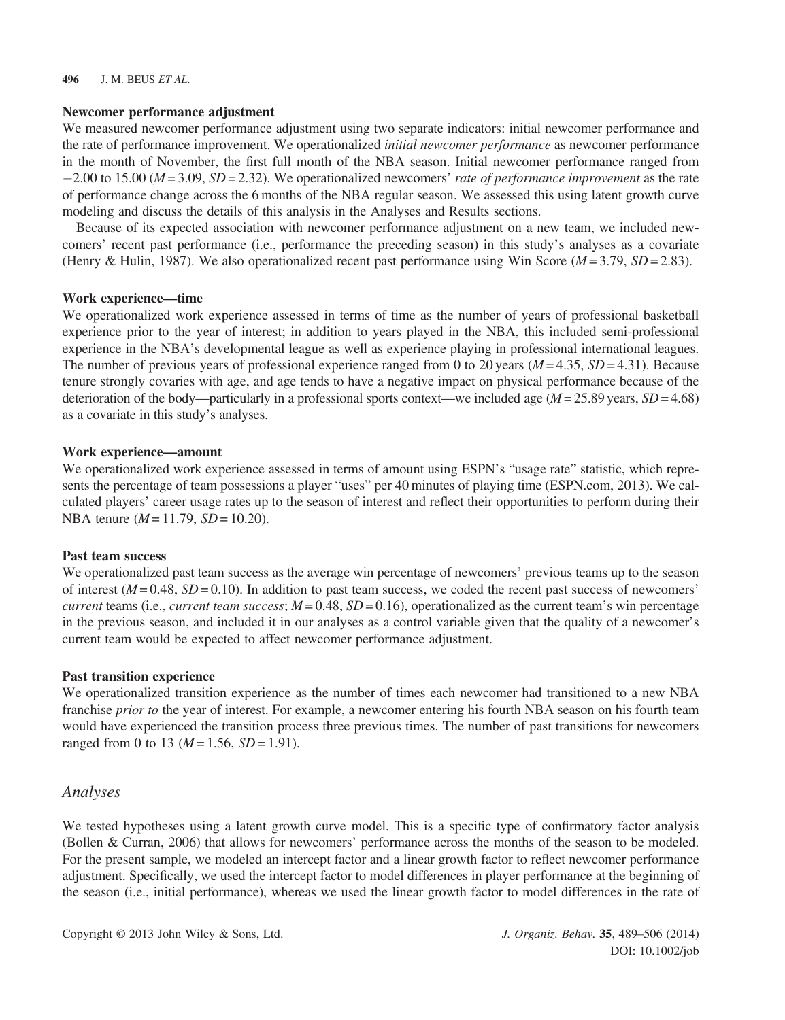#### Newcomer performance adjustment

We measured newcomer performance adjustment using two separate indicators: initial newcomer performance and the rate of performance improvement. We operationalized *initial newcomer performance* as newcomer performance in the month of November, the first full month of the NBA season. Initial newcomer performance ranged from  $-2.00$  to 15.00 ( $M = 3.09$ ,  $SD = 2.32$ ). We operationalized newcomers' rate of performance improvement as the rate of performance change across the 6 months of the NBA regular season. We assessed this using latent growth curve modeling and discuss the details of this analysis in the Analyses and Results sections.

Because of its expected association with newcomer performance adjustment on a new team, we included newcomers' recent past performance (i.e., performance the preceding season) in this study's analyses as a covariate (Henry & Hulin, 1987). We also operationalized recent past performance using Win Score ( $M = 3.79$ ,  $SD = 2.83$ ).

#### Work experience—time

We operationalized work experience assessed in terms of time as the number of years of professional basketball experience prior to the year of interest; in addition to years played in the NBA, this included semi-professional experience in the NBA's developmental league as well as experience playing in professional international leagues. The number of previous years of professional experience ranged from 0 to 20 years  $(M = 4.35, SD = 4.31)$ . Because tenure strongly covaries with age, and age tends to have a negative impact on physical performance because of the deterioration of the body—particularly in a professional sports context—we included age ( $M = 25.89$  years,  $SD = 4.68$ ) as a covariate in this study's analyses.

#### Work experience—amount

We operationalized work experience assessed in terms of amount using ESPN's "usage rate" statistic, which represents the percentage of team possessions a player "uses" per 40 minutes of playing time (ESPN.com, 2013). We calculated players' career usage rates up to the season of interest and reflect their opportunities to perform during their NBA tenure ( $M = 11.79$ ,  $SD = 10.20$ ).

#### Past team success

We operationalized past team success as the average win percentage of newcomers' previous teams up to the season of interest  $(M = 0.48, SD = 0.10)$ . In addition to past team success, we coded the recent past success of newcomers' *current* teams (i.e., *current team success*;  $M = 0.48$ ,  $SD = 0.16$ ), operationalized as the current team's win percentage in the previous season, and included it in our analyses as a control variable given that the quality of a newcomer's current team would be expected to affect newcomer performance adjustment.

#### Past transition experience

We operationalized transition experience as the number of times each newcomer had transitioned to a new NBA franchise *prior to* the year of interest. For example, a newcomer entering his fourth NBA season on his fourth team would have experienced the transition process three previous times. The number of past transitions for newcomers ranged from 0 to 13 ( $M = 1.56$ ,  $SD = 1.91$ ).

#### Analyses

We tested hypotheses using a latent growth curve model. This is a specific type of confirmatory factor analysis (Bollen & Curran, 2006) that allows for newcomers' performance across the months of the season to be modeled. For the present sample, we modeled an intercept factor and a linear growth factor to reflect newcomer performance adjustment. Specifically, we used the intercept factor to model differences in player performance at the beginning of the season (i.e., initial performance), whereas we used the linear growth factor to model differences in the rate of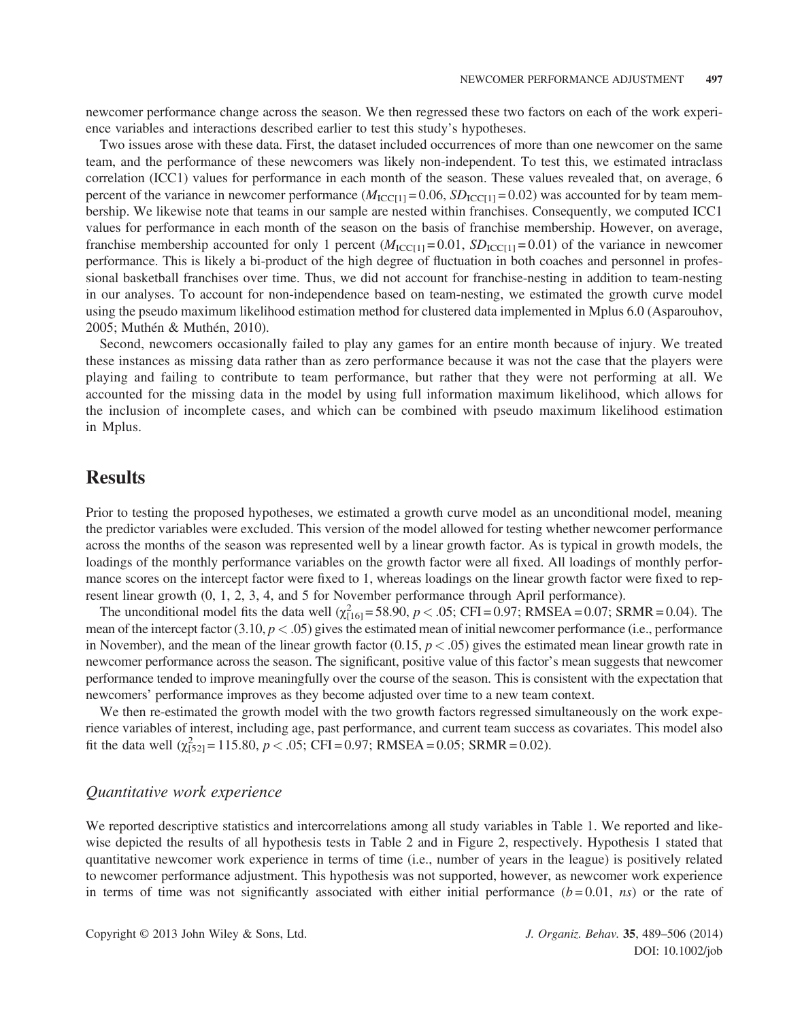newcomer performance change across the season. We then regressed these two factors on each of the work experience variables and interactions described earlier to test this study's hypotheses.

Two issues arose with these data. First, the dataset included occurrences of more than one newcomer on the same team, and the performance of these newcomers was likely non-independent. To test this, we estimated intraclass correlation (ICC1) values for performance in each month of the season. These values revealed that, on average, 6 percent of the variance in newcomer performance  $(M_{\text{ICCI1}} = 0.06, SD_{\text{ICCI1}} = 0.02)$  was accounted for by team membership. We likewise note that teams in our sample are nested within franchises. Consequently, we computed ICC1 values for performance in each month of the season on the basis of franchise membership. However, on average, franchise membership accounted for only 1 percent  $(M_{\text{ICCI1}} = 0.01, SD_{\text{ICCI1}} = 0.01)$  of the variance in newcomer performance. This is likely a bi-product of the high degree of fluctuation in both coaches and personnel in professional basketball franchises over time. Thus, we did not account for franchise-nesting in addition to team-nesting in our analyses. To account for non-independence based on team-nesting, we estimated the growth curve model using the pseudo maximum likelihood estimation method for clustered data implemented in Mplus 6.0 (Asparouhov, 2005; Muthén & Muthén, 2010).

Second, newcomers occasionally failed to play any games for an entire month because of injury. We treated these instances as missing data rather than as zero performance because it was not the case that the players were playing and failing to contribute to team performance, but rather that they were not performing at all. We accounted for the missing data in the model by using full information maximum likelihood, which allows for the inclusion of incomplete cases, and which can be combined with pseudo maximum likelihood estimation in Mplus.

## **Results**

Prior to testing the proposed hypotheses, we estimated a growth curve model as an unconditional model, meaning the predictor variables were excluded. This version of the model allowed for testing whether newcomer performance across the months of the season was represented well by a linear growth factor. As is typical in growth models, the loadings of the monthly performance variables on the growth factor were all fixed. All loadings of monthly performance scores on the intercept factor were fixed to 1, whereas loadings on the linear growth factor were fixed to represent linear growth (0, 1, 2, 3, 4, and 5 for November performance through April performance).

The unconditional model fits the data well  $(\chi_{[16]}^2 = 58.90, p < .05; CFI = 0.97; RMSEA = 0.07; SRMR = 0.04)$ . The mean of the intercept factor  $(3.10, p < .05)$  gives the estimated mean of initial newcomer performance (i.e., performance in November), and the mean of the linear growth factor  $(0.15, p < .05)$  gives the estimated mean linear growth rate in newcomer performance across the season. The significant, positive value of this factor's mean suggests that newcomer performance tended to improve meaningfully over the course of the season. This is consistent with the expectation that newcomers' performance improves as they become adjusted over time to a new team context.

We then re-estimated the growth model with the two growth factors regressed simultaneously on the work experience variables of interest, including age, past performance, and current team success as covariates. This model also fit the data well  $(\chi^2_{[52]} = 115.80, p < .05; CFI = 0.97; RMSEA = 0.05; SRMR = 0.02)$ .

### Quantitative work experience

We reported descriptive statistics and intercorrelations among all study variables in Table 1. We reported and likewise depicted the results of all hypothesis tests in Table 2 and in Figure 2, respectively. Hypothesis 1 stated that quantitative newcomer work experience in terms of time (i.e., number of years in the league) is positively related to newcomer performance adjustment. This hypothesis was not supported, however, as newcomer work experience in terms of time was not significantly associated with either initial performance  $(b=0.01, ns)$  or the rate of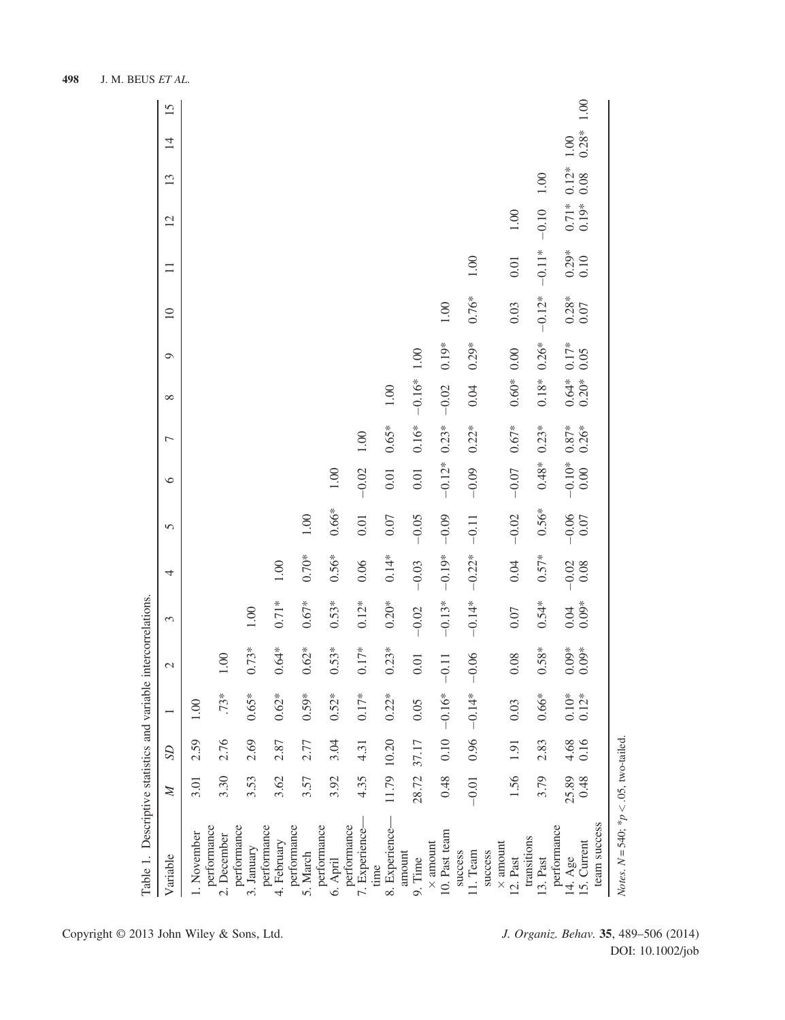| Table 1. Descriptive statistics and variable intercorrelations |               |                   |                             |                    |                 |                     |                 |                      |                  |                    |                 |             |                 |                  |                 |                 |      |
|----------------------------------------------------------------|---------------|-------------------|-----------------------------|--------------------|-----------------|---------------------|-----------------|----------------------|------------------|--------------------|-----------------|-------------|-----------------|------------------|-----------------|-----------------|------|
| Variable                                                       | $\mathbb{Z}$  | SD                | $\overline{ }$              | $\sim$             | 3               | 4                   | 5               | $\circ$              | Γ                | ${}^{\circ}$       | $\circ$         | $\supseteq$ | $\equiv$        | $\overline{c}$   | 13              | $\overline{4}$  | 15   |
| 1. November                                                    | 3.01          | 2.59              | $\odot$                     |                    |                 |                     |                 |                      |                  |                    |                 |             |                 |                  |                 |                 |      |
| performance<br>2. December                                     | 3.30          | 2.76              | $.73*$                      | 1.00               |                 |                     |                 |                      |                  |                    |                 |             |                 |                  |                 |                 |      |
| performance<br>3. January                                      | 3.53          | 2.69              | 65*                         | $0.73*$            | 1.00            |                     |                 |                      |                  |                    |                 |             |                 |                  |                 |                 |      |
| performance<br>4. February                                     | 3.62          | 2.87              | $62*$                       | $0.64*$            | $0.71*$         | $1.00$              |                 |                      |                  |                    |                 |             |                 |                  |                 |                 |      |
| performance<br>5. March                                        | 3.57          | 2.77              | .59*                        | $0.62*$            | $0.67*$         | $0.70*$             | $1.00\,$        |                      |                  |                    |                 |             |                 |                  |                 |                 |      |
| performance<br>6. April                                        | 3.92          | 3.04              | $52*$                       | $0.53*$            | $0.53*$         | $0.56*$             | $0.66*$         | 1.00                 |                  |                    |                 |             |                 |                  |                 |                 |      |
| performance<br>7. Experience-                                  | 4.35          | 4.31              | $0.17*$                     | $0.17*$            | $0.12*$         | 0.06                | $0.01$          | $-0.02$              | $1.00\,$         |                    |                 |             |                 |                  |                 |                 |      |
| 8. Experience-<br>time                                         | 11.79 10.20   |                   | $.22*$<br>0                 | $0.23*$            | $0.20*$         | $0.14*$             | 0.07            | $0.01\,$             | $0.65*$          | $1.00\,$           |                 |             |                 |                  |                 |                 |      |
| amount<br>9. Time                                              | 28.72 37.17   |                   | 0.05                        | $0.01$             | $-0.02$         | $-0.03$             | $-0.05$         | 0.01                 | $0.16*$          | $-0.16*1.00$       |                 |             |                 |                  |                 |                 |      |
| 10. Past team<br>$\times$ amount                               | 0.48          | 0.10              | $-0.16*$                    | $-0.11$            | $-0.13*$        | $-0.19*$            | $-0.09$         | $-0.12*$             | $0.23*$          | $-0.02$            | $0.19*$         | 1.00        |                 |                  |                 |                 |      |
| 11. Team<br>success                                            | $-0.01$       | 0.96              | $-0.14*$                    | $-0.06$            | $-0.14*$        | $-0.22*$            | $-0.11$         | $-0.09$              | $0.22*$          | 0.04               | $0.29*$         | $0.76*$     | $1.00\,$        |                  |                 |                 |      |
| $\times$ amount<br>success<br>12. Past                         | 1.56          | $\overline{1.91}$ | 0.03                        | $0.08\,$           | 0.07            | 0.04                | $-0.02$         | $-0.07$              | $0.67*$          | $0.60*$            | 0.00            | 0.03        | 0.01            | $1.00\,$         |                 |                 |      |
| transitions<br>13. Past                                        | 3.79          | 2.83              | $.66*$                      | $0.58*$            | $0.54*$         | $0.57*$             | $0.56*$         | $0.48*$              | $0.23*$          | $0.18*$            | $0.26*$         | $-0.12*$    | $-0.11*$        | $-0.10$          | $1.00\,$        |                 |      |
| team success<br>performance<br>15. Current<br>14. Age          | 25.89<br>0.48 | 4.68<br>0.16      | $0.10\mathrm{*}$<br>$0.12*$ | $0.09*$<br>$0.09*$ | $0.09*$<br>0.04 | $-0.02$<br>$0.08\,$ | $-0.06$<br>0.07 | $-0.10$ <sup>*</sup> | $0.87*$<br>0.26* | $0.64*$<br>$0.20*$ | $0.17*$<br>0.05 | $0.28*0.07$ | $0.29*$<br>0.10 | $0.71*$<br>0.19* | $0.12*$<br>0.08 | $0.28*$<br>1.00 | 1.00 |
| <i>Notes</i> . $N = 540$ ; * $p < .05$ , two-tailed.           |               |                   |                             |                    |                 |                     |                 |                      |                  |                    |                 |             |                 |                  |                 |                 |      |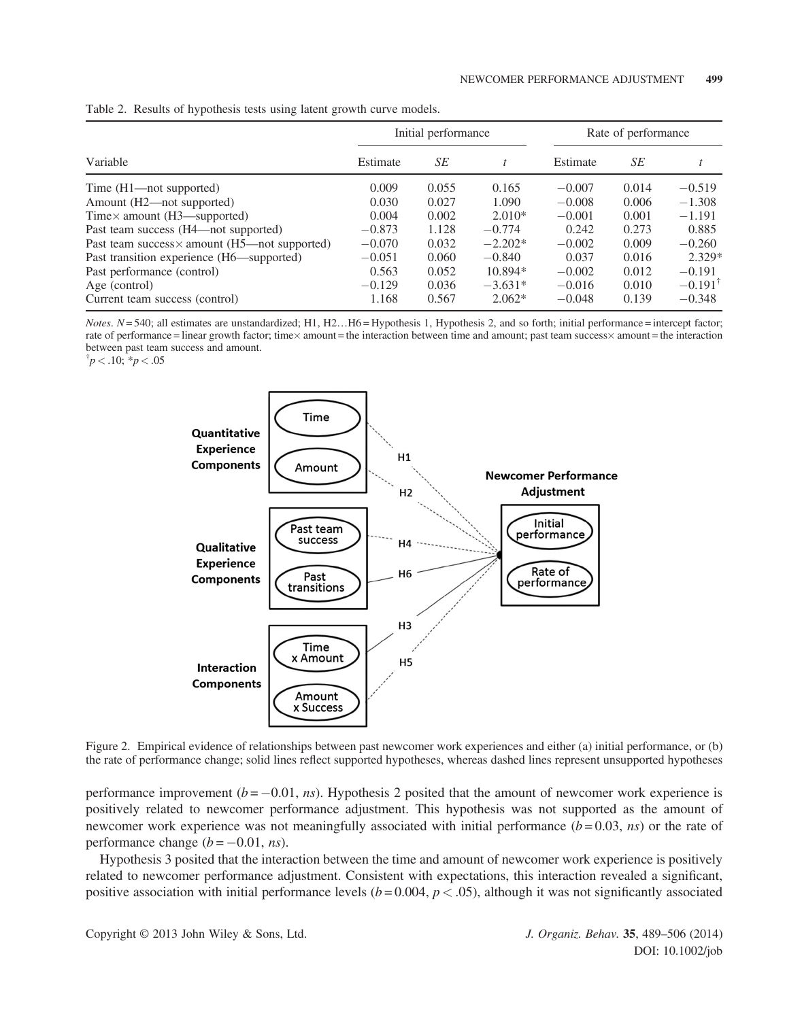|                                                      |          | Initial performance |           | Rate of performance |       |                    |
|------------------------------------------------------|----------|---------------------|-----------|---------------------|-------|--------------------|
| Variable                                             | Estimate | SE                  |           | Estimate            | SЕ    |                    |
| Time (H1—not supported)                              | 0.009    | 0.055               | 0.165     | $-0.007$            | 0.014 | $-0.519$           |
| Amount (H2—not supported)                            | 0.030    | 0.027               | 1.090     | $-0.008$            | 0.006 | $-1.308$           |
| Time $\times$ amount (H3—supported)                  | 0.004    | 0.002               | $2.010*$  | $-0.001$            | 0.001 | $-1.191$           |
| Past team success (H4—not supported)                 | $-0.873$ | 1.128               | $-0.774$  | 0.242               | 0.273 | 0.885              |
| Past team success $\times$ amount (H5—not supported) | $-0.070$ | 0.032               | $-2.202*$ | $-0.002$            | 0.009 | $-0.260$           |
| Past transition experience (H6—supported)            | $-0.051$ | 0.060               | $-0.840$  | 0.037               | 0.016 | 2.329*             |
| Past performance (control)                           | 0.563    | 0.052               | $10.894*$ | $-0.002$            | 0.012 | $-0.191$           |
| Age (control)                                        | $-0.129$ | 0.036               | $-3.631*$ | $-0.016$            | 0.010 | $-0.191^{\dagger}$ |
| Current team success (control)                       | 1.168    | 0.567               | $2.062*$  | $-0.048$            | 0.139 | $-0.348$           |

Table 2. Results of hypothesis tests using latent growth curve models.

 $Notes. N= 540; all estimates are unstandardized; H1, H2...H6 = Hypothesis 1, Hypothesis 2, and so forth; initial performance = intercept factor;$ rate of performance = linear growth factor; time× amount = the interaction between time and amount; past team success× amount = the interaction<br>. between past team success and amount.

 $\phi$ <sup>†</sup> $p < .10$ ; \* $p < .05$ 



Figure 2. Empirical evidence of relationships between past newcomer work experiences and either (a) initial performance, or (b) the rate of performance change; solid lines reflect supported hypotheses, whereas dashed lines represent unsupported hypotheses

performance improvement  $(b = -0.01, ns)$ . Hypothesis 2 posited that the amount of newcomer work experience is positively related to newcomer performance adjustment. This hypothesis was not supported as the amount of newcomer work experience was not meaningfully associated with initial performance  $(b=0.03, ns)$  or the rate of performance change  $(b = -0.01, ns)$ .

Hypothesis 3 posited that the interaction between the time and amount of newcomer work experience is positively related to newcomer performance adjustment. Consistent with expectations, this interaction revealed a significant, positive association with initial performance levels  $(b = 0.004, p < .05)$ , although it was not significantly associated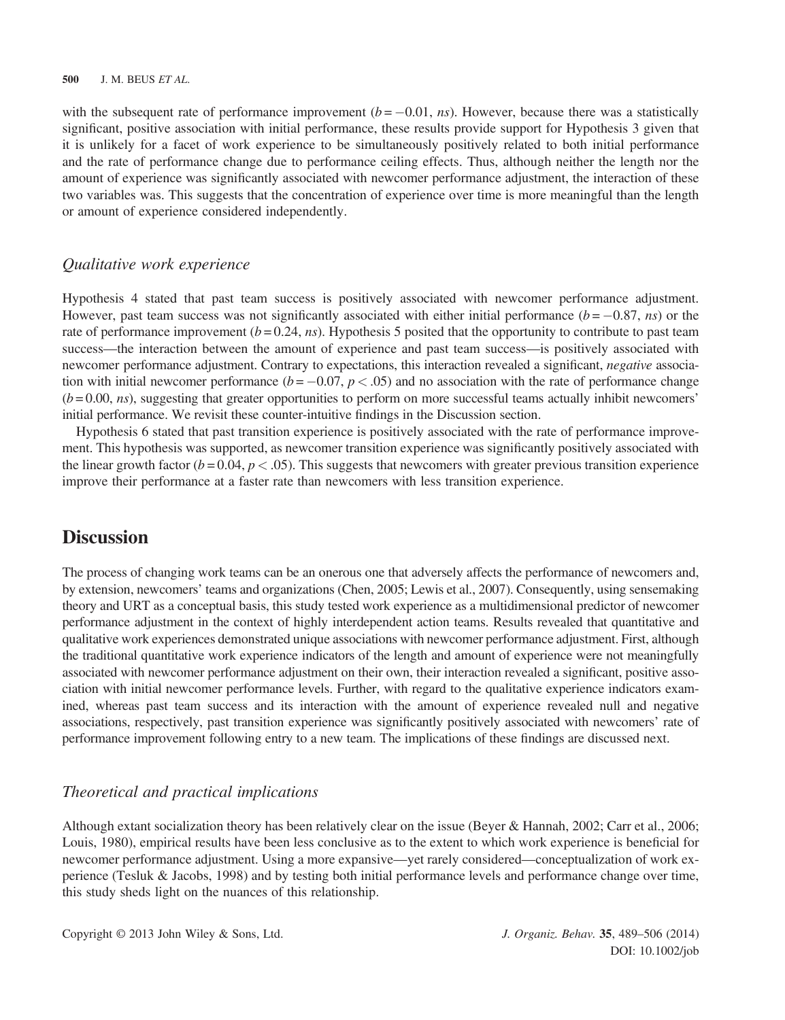with the subsequent rate of performance improvement  $(b = -0.01, ns)$ . However, because there was a statistically significant, positive association with initial performance, these results provide support for Hypothesis 3 given that it is unlikely for a facet of work experience to be simultaneously positively related to both initial performance and the rate of performance change due to performance ceiling effects. Thus, although neither the length nor the amount of experience was significantly associated with newcomer performance adjustment, the interaction of these two variables was. This suggests that the concentration of experience over time is more meaningful than the length or amount of experience considered independently.

### Qualitative work experience

Hypothesis 4 stated that past team success is positively associated with newcomer performance adjustment. However, past team success was not significantly associated with either initial performance ( $b = -0.87$ , ns) or the rate of performance improvement  $(b = 0.24, ns)$ . Hypothesis 5 posited that the opportunity to contribute to past team success—the interaction between the amount of experience and past team success—is positively associated with newcomer performance adjustment. Contrary to expectations, this interaction revealed a significant, *negative* association with initial newcomer performance ( $b = -0.07$ ,  $p < .05$ ) and no association with the rate of performance change  $(b = 0.00, ns)$ , suggesting that greater opportunities to perform on more successful teams actually inhibit newcomers' initial performance. We revisit these counter-intuitive findings in the Discussion section.

Hypothesis 6 stated that past transition experience is positively associated with the rate of performance improvement. This hypothesis was supported, as newcomer transition experience was significantly positively associated with the linear growth factor ( $b = 0.04$ ,  $p < .05$ ). This suggests that newcomers with greater previous transition experience improve their performance at a faster rate than newcomers with less transition experience.

## **Discussion**

The process of changing work teams can be an onerous one that adversely affects the performance of newcomers and, by extension, newcomers' teams and organizations (Chen, 2005; Lewis et al., 2007). Consequently, using sensemaking theory and URT as a conceptual basis, this study tested work experience as a multidimensional predictor of newcomer performance adjustment in the context of highly interdependent action teams. Results revealed that quantitative and qualitative work experiences demonstrated unique associations with newcomer performance adjustment. First, although the traditional quantitative work experience indicators of the length and amount of experience were not meaningfully associated with newcomer performance adjustment on their own, their interaction revealed a significant, positive association with initial newcomer performance levels. Further, with regard to the qualitative experience indicators examined, whereas past team success and its interaction with the amount of experience revealed null and negative associations, respectively, past transition experience was significantly positively associated with newcomers' rate of performance improvement following entry to a new team. The implications of these findings are discussed next.

## Theoretical and practical implications

Although extant socialization theory has been relatively clear on the issue (Beyer & Hannah, 2002; Carr et al., 2006; Louis, 1980), empirical results have been less conclusive as to the extent to which work experience is beneficial for newcomer performance adjustment. Using a more expansive—yet rarely considered—conceptualization of work experience (Tesluk & Jacobs, 1998) and by testing both initial performance levels and performance change over time, this study sheds light on the nuances of this relationship.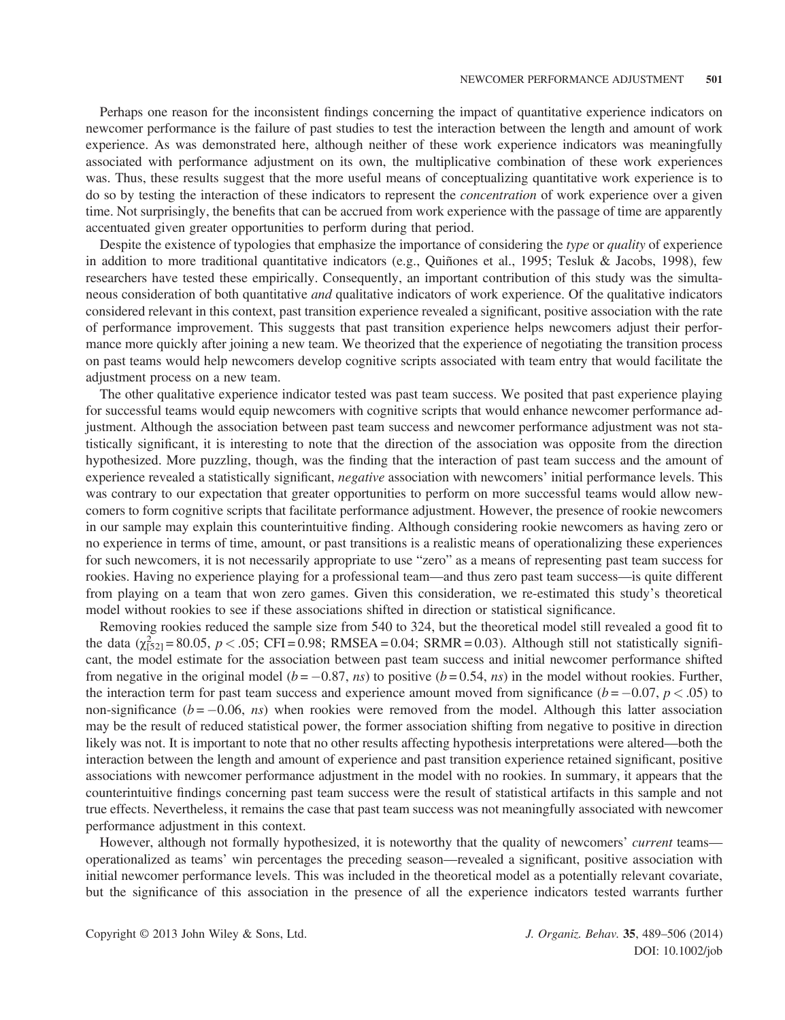Perhaps one reason for the inconsistent findings concerning the impact of quantitative experience indicators on newcomer performance is the failure of past studies to test the interaction between the length and amount of work experience. As was demonstrated here, although neither of these work experience indicators was meaningfully associated with performance adjustment on its own, the multiplicative combination of these work experiences was. Thus, these results suggest that the more useful means of conceptualizing quantitative work experience is to do so by testing the interaction of these indicators to represent the *concentration* of work experience over a given time. Not surprisingly, the benefits that can be accrued from work experience with the passage of time are apparently accentuated given greater opportunities to perform during that period.

Despite the existence of typologies that emphasize the importance of considering the type or quality of experience in addition to more traditional quantitative indicators (e.g., Quiñones et al., 1995; Tesluk & Jacobs, 1998), few researchers have tested these empirically. Consequently, an important contribution of this study was the simultaneous consideration of both quantitative *and* qualitative indicators of work experience. Of the qualitative indicators considered relevant in this context, past transition experience revealed a significant, positive association with the rate of performance improvement. This suggests that past transition experience helps newcomers adjust their performance more quickly after joining a new team. We theorized that the experience of negotiating the transition process on past teams would help newcomers develop cognitive scripts associated with team entry that would facilitate the adjustment process on a new team.

The other qualitative experience indicator tested was past team success. We posited that past experience playing for successful teams would equip newcomers with cognitive scripts that would enhance newcomer performance adjustment. Although the association between past team success and newcomer performance adjustment was not statistically significant, it is interesting to note that the direction of the association was opposite from the direction hypothesized. More puzzling, though, was the finding that the interaction of past team success and the amount of experience revealed a statistically significant, negative association with newcomers' initial performance levels. This was contrary to our expectation that greater opportunities to perform on more successful teams would allow newcomers to form cognitive scripts that facilitate performance adjustment. However, the presence of rookie newcomers in our sample may explain this counterintuitive finding. Although considering rookie newcomers as having zero or no experience in terms of time, amount, or past transitions is a realistic means of operationalizing these experiences for such newcomers, it is not necessarily appropriate to use "zero" as a means of representing past team success for rookies. Having no experience playing for a professional team—and thus zero past team success—is quite different from playing on a team that won zero games. Given this consideration, we re-estimated this study's theoretical model without rookies to see if these associations shifted in direction or statistical significance.

Removing rookies reduced the sample size from 540 to 324, but the theoretical model still revealed a good fit to the data  $(\chi^2_{[52]} = 80.05, p < .05; CFI = 0.98; RMSEA = 0.04; SRMR = 0.03)$ . Although still not statistically significant, the model estimate for the association between past team success and initial newcomer performance shifted from negative in the original model ( $b = -0.87$ , ns) to positive ( $b = 0.54$ , ns) in the model without rookies. Further, the interaction term for past team success and experience amount moved from significance ( $b = -0.07$ ,  $p < .05$ ) to non-significance  $(b = -0.06, ns)$  when rookies were removed from the model. Although this latter association may be the result of reduced statistical power, the former association shifting from negative to positive in direction likely was not. It is important to note that no other results affecting hypothesis interpretations were altered—both the interaction between the length and amount of experience and past transition experience retained significant, positive associations with newcomer performance adjustment in the model with no rookies. In summary, it appears that the counterintuitive findings concerning past team success were the result of statistical artifacts in this sample and not true effects. Nevertheless, it remains the case that past team success was not meaningfully associated with newcomer performance adjustment in this context.

However, although not formally hypothesized, it is noteworthy that the quality of newcomers' *current* teams operationalized as teams' win percentages the preceding season—revealed a significant, positive association with initial newcomer performance levels. This was included in the theoretical model as a potentially relevant covariate, but the significance of this association in the presence of all the experience indicators tested warrants further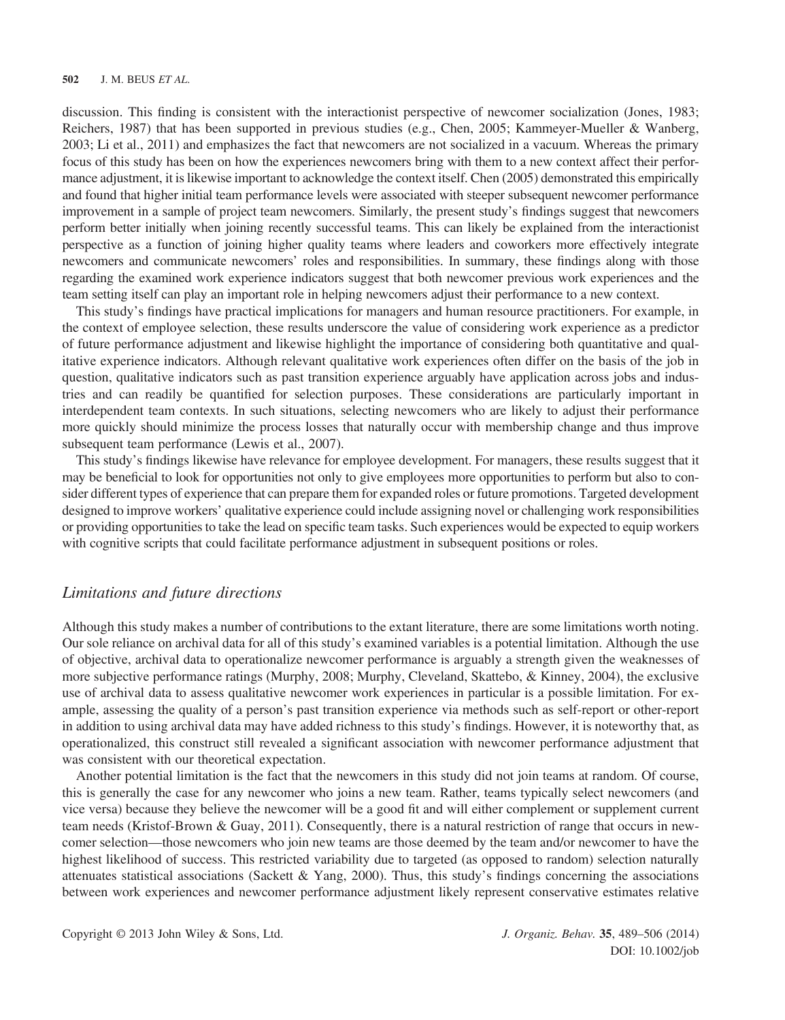discussion. This finding is consistent with the interactionist perspective of newcomer socialization (Jones, 1983; Reichers, 1987) that has been supported in previous studies (e.g., Chen, 2005; Kammeyer-Mueller & Wanberg, 2003; Li et al., 2011) and emphasizes the fact that newcomers are not socialized in a vacuum. Whereas the primary focus of this study has been on how the experiences newcomers bring with them to a new context affect their performance adjustment, it is likewise important to acknowledge the context itself. Chen (2005) demonstrated this empirically and found that higher initial team performance levels were associated with steeper subsequent newcomer performance improvement in a sample of project team newcomers. Similarly, the present study's findings suggest that newcomers perform better initially when joining recently successful teams. This can likely be explained from the interactionist perspective as a function of joining higher quality teams where leaders and coworkers more effectively integrate newcomers and communicate newcomers' roles and responsibilities. In summary, these findings along with those regarding the examined work experience indicators suggest that both newcomer previous work experiences and the team setting itself can play an important role in helping newcomers adjust their performance to a new context.

This study's findings have practical implications for managers and human resource practitioners. For example, in the context of employee selection, these results underscore the value of considering work experience as a predictor of future performance adjustment and likewise highlight the importance of considering both quantitative and qualitative experience indicators. Although relevant qualitative work experiences often differ on the basis of the job in question, qualitative indicators such as past transition experience arguably have application across jobs and industries and can readily be quantified for selection purposes. These considerations are particularly important in interdependent team contexts. In such situations, selecting newcomers who are likely to adjust their performance more quickly should minimize the process losses that naturally occur with membership change and thus improve subsequent team performance (Lewis et al., 2007).

This study's findings likewise have relevance for employee development. For managers, these results suggest that it may be beneficial to look for opportunities not only to give employees more opportunities to perform but also to consider different types of experience that can prepare them for expanded roles or future promotions. Targeted development designed to improve workers' qualitative experience could include assigning novel or challenging work responsibilities or providing opportunities to take the lead on specific team tasks. Such experiences would be expected to equip workers with cognitive scripts that could facilitate performance adjustment in subsequent positions or roles.

#### Limitations and future directions

Although this study makes a number of contributions to the extant literature, there are some limitations worth noting. Our sole reliance on archival data for all of this study's examined variables is a potential limitation. Although the use of objective, archival data to operationalize newcomer performance is arguably a strength given the weaknesses of more subjective performance ratings (Murphy, 2008; Murphy, Cleveland, Skattebo, & Kinney, 2004), the exclusive use of archival data to assess qualitative newcomer work experiences in particular is a possible limitation. For example, assessing the quality of a person's past transition experience via methods such as self-report or other-report in addition to using archival data may have added richness to this study's findings. However, it is noteworthy that, as operationalized, this construct still revealed a significant association with newcomer performance adjustment that was consistent with our theoretical expectation.

Another potential limitation is the fact that the newcomers in this study did not join teams at random. Of course, this is generally the case for any newcomer who joins a new team. Rather, teams typically select newcomers (and vice versa) because they believe the newcomer will be a good fit and will either complement or supplement current team needs (Kristof-Brown & Guay, 2011). Consequently, there is a natural restriction of range that occurs in newcomer selection—those newcomers who join new teams are those deemed by the team and/or newcomer to have the highest likelihood of success. This restricted variability due to targeted (as opposed to random) selection naturally attenuates statistical associations (Sackett  $\&$  Yang, 2000). Thus, this study's findings concerning the associations between work experiences and newcomer performance adjustment likely represent conservative estimates relative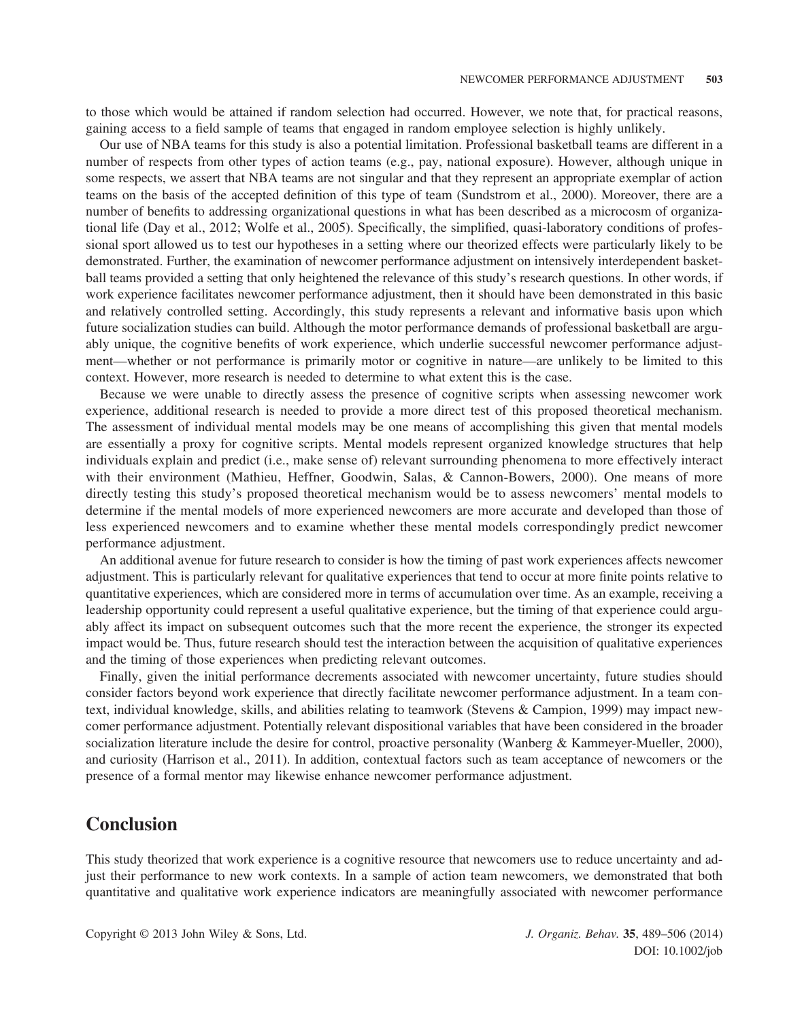to those which would be attained if random selection had occurred. However, we note that, for practical reasons, gaining access to a field sample of teams that engaged in random employee selection is highly unlikely.

Our use of NBA teams for this study is also a potential limitation. Professional basketball teams are different in a number of respects from other types of action teams (e.g., pay, national exposure). However, although unique in some respects, we assert that NBA teams are not singular and that they represent an appropriate exemplar of action teams on the basis of the accepted definition of this type of team (Sundstrom et al., 2000). Moreover, there are a number of benefits to addressing organizational questions in what has been described as a microcosm of organizational life (Day et al., 2012; Wolfe et al., 2005). Specifically, the simplified, quasi-laboratory conditions of professional sport allowed us to test our hypotheses in a setting where our theorized effects were particularly likely to be demonstrated. Further, the examination of newcomer performance adjustment on intensively interdependent basketball teams provided a setting that only heightened the relevance of this study's research questions. In other words, if work experience facilitates newcomer performance adjustment, then it should have been demonstrated in this basic and relatively controlled setting. Accordingly, this study represents a relevant and informative basis upon which future socialization studies can build. Although the motor performance demands of professional basketball are arguably unique, the cognitive benefits of work experience, which underlie successful newcomer performance adjustment—whether or not performance is primarily motor or cognitive in nature—are unlikely to be limited to this context. However, more research is needed to determine to what extent this is the case.

Because we were unable to directly assess the presence of cognitive scripts when assessing newcomer work experience, additional research is needed to provide a more direct test of this proposed theoretical mechanism. The assessment of individual mental models may be one means of accomplishing this given that mental models are essentially a proxy for cognitive scripts. Mental models represent organized knowledge structures that help individuals explain and predict (i.e., make sense of) relevant surrounding phenomena to more effectively interact with their environment (Mathieu, Heffner, Goodwin, Salas, & Cannon-Bowers, 2000). One means of more directly testing this study's proposed theoretical mechanism would be to assess newcomers' mental models to determine if the mental models of more experienced newcomers are more accurate and developed than those of less experienced newcomers and to examine whether these mental models correspondingly predict newcomer performance adjustment.

An additional avenue for future research to consider is how the timing of past work experiences affects newcomer adjustment. This is particularly relevant for qualitative experiences that tend to occur at more finite points relative to quantitative experiences, which are considered more in terms of accumulation over time. As an example, receiving a leadership opportunity could represent a useful qualitative experience, but the timing of that experience could arguably affect its impact on subsequent outcomes such that the more recent the experience, the stronger its expected impact would be. Thus, future research should test the interaction between the acquisition of qualitative experiences and the timing of those experiences when predicting relevant outcomes.

Finally, given the initial performance decrements associated with newcomer uncertainty, future studies should consider factors beyond work experience that directly facilitate newcomer performance adjustment. In a team context, individual knowledge, skills, and abilities relating to teamwork (Stevens & Campion, 1999) may impact newcomer performance adjustment. Potentially relevant dispositional variables that have been considered in the broader socialization literature include the desire for control, proactive personality (Wanberg & Kammeyer-Mueller, 2000), and curiosity (Harrison et al., 2011). In addition, contextual factors such as team acceptance of newcomers or the presence of a formal mentor may likewise enhance newcomer performance adjustment.

## **Conclusion**

This study theorized that work experience is a cognitive resource that newcomers use to reduce uncertainty and adjust their performance to new work contexts. In a sample of action team newcomers, we demonstrated that both quantitative and qualitative work experience indicators are meaningfully associated with newcomer performance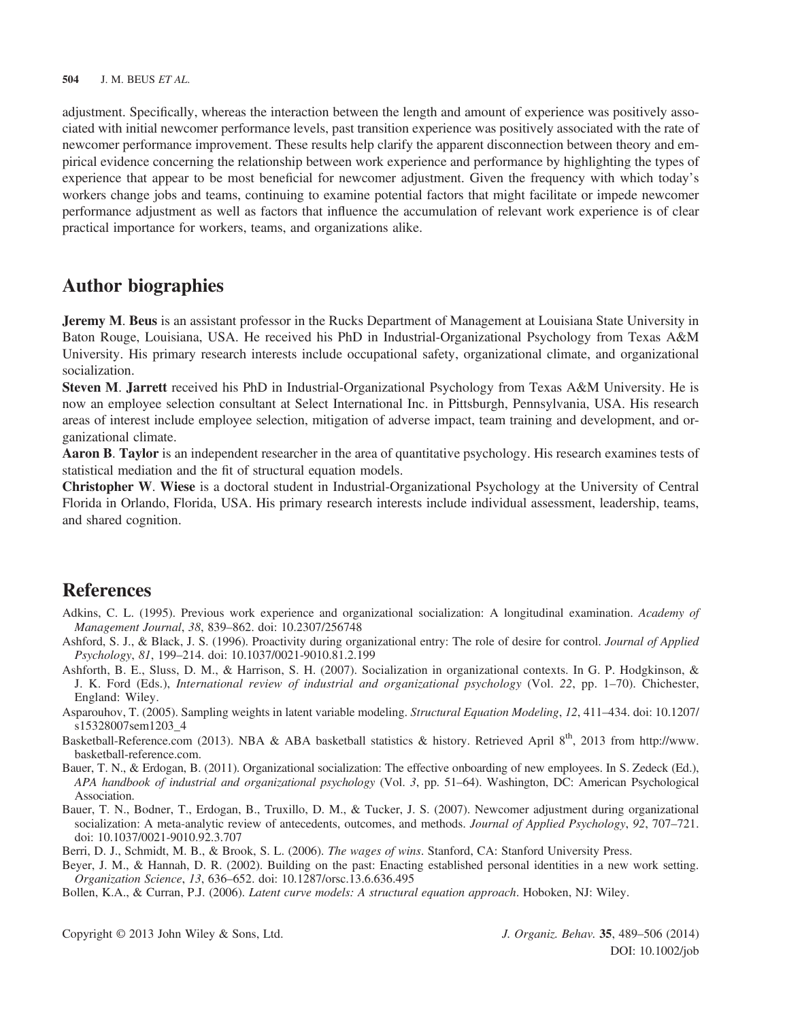adjustment. Specifically, whereas the interaction between the length and amount of experience was positively associated with initial newcomer performance levels, past transition experience was positively associated with the rate of newcomer performance improvement. These results help clarify the apparent disconnection between theory and empirical evidence concerning the relationship between work experience and performance by highlighting the types of experience that appear to be most beneficial for newcomer adjustment. Given the frequency with which today's workers change jobs and teams, continuing to examine potential factors that might facilitate or impede newcomer performance adjustment as well as factors that influence the accumulation of relevant work experience is of clear practical importance for workers, teams, and organizations alike.

## Author biographies

Jeremy M. Beus is an assistant professor in the Rucks Department of Management at Louisiana State University in Baton Rouge, Louisiana, USA. He received his PhD in Industrial-Organizational Psychology from Texas A&M University. His primary research interests include occupational safety, organizational climate, and organizational socialization.

Steven M. Jarrett received his PhD in Industrial-Organizational Psychology from Texas A&M University. He is now an employee selection consultant at Select International Inc. in Pittsburgh, Pennsylvania, USA. His research areas of interest include employee selection, mitigation of adverse impact, team training and development, and organizational climate.

Aaron B. Taylor is an independent researcher in the area of quantitative psychology. His research examines tests of statistical mediation and the fit of structural equation models.

Christopher W. Wiese is a doctoral student in Industrial-Organizational Psychology at the University of Central Florida in Orlando, Florida, USA. His primary research interests include individual assessment, leadership, teams, and shared cognition.

## **References**

- Adkins, C. L. (1995). Previous work experience and organizational socialization: A longitudinal examination. Academy of Management Journal, 38, 839–862. doi: 10.2307/256748
- Ashford, S. J., & Black, J. S. (1996). Proactivity during organizational entry: The role of desire for control. Journal of Applied Psychology, 81, 199–214. doi: 10.1037/0021-9010.81.2.199
- Ashforth, B. E., Sluss, D. M., & Harrison, S. H. (2007). Socialization in organizational contexts. In G. P. Hodgkinson, & J. K. Ford (Eds.), International review of industrial and organizational psychology (Vol. 22, pp. 1–70). Chichester, England: Wiley.
- Asparouhov, T. (2005). Sampling weights in latent variable modeling. Structural Equation Modeling, 12, 411–434. doi: 10.1207/ s15328007sem1203\_4
- Basketball-Reference.com (2013). NBA & ABA basketball statistics & history. Retrieved April 8<sup>th</sup>, 2013 from [http://www.](http://www.basketball-reference.com) [basketball-reference.com](http://www.basketball-reference.com).
- Bauer, T. N., & Erdogan, B. (2011). Organizational socialization: The effective onboarding of new employees. In S. Zedeck (Ed.), APA handbook of industrial and organizational psychology (Vol. 3, pp. 51–64). Washington, DC: American Psychological Association.
- Bauer, T. N., Bodner, T., Erdogan, B., Truxillo, D. M., & Tucker, J. S. (2007). Newcomer adjustment during organizational socialization: A meta-analytic review of antecedents, outcomes, and methods. Journal of Applied Psychology, 92, 707–721. doi: 10.1037/0021-9010.92.3.707

Berri, D. J., Schmidt, M. B., & Brook, S. L. (2006). The wages of wins. Stanford, CA: Stanford University Press.

- Beyer, J. M., & Hannah, D. R. (2002). Building on the past: Enacting established personal identities in a new work setting. Organization Science, 13, 636–652. doi: 10.1287/orsc.13.6.636.495
- Bollen, K.A., & Curran, P.J. (2006). Latent curve models: A structural equation approach. Hoboken, NJ: Wiley.

Copyright © 2013 John Wiley & Sons, Ltd. J. Organiz. Behav. 35, 489–506 (2014)

DOI: 10.1002/job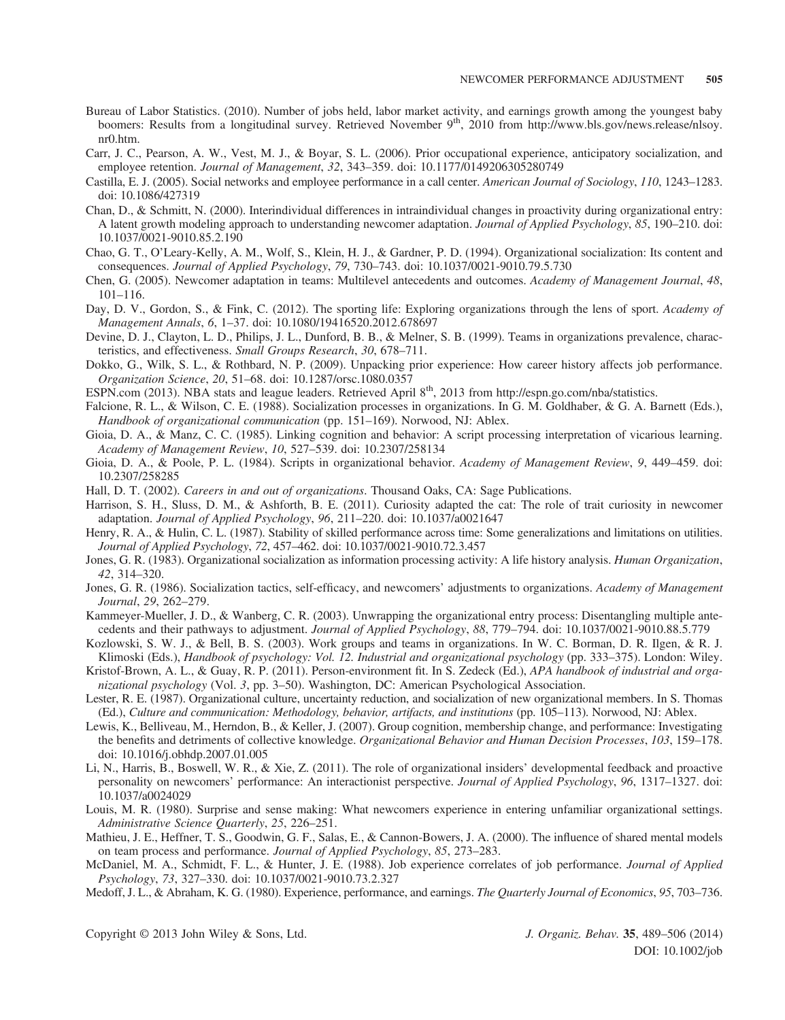- Bureau of Labor Statistics. (2010). Number of jobs held, labor market activity, and earnings growth among the youngest baby boomers: Results from a longitudinal survey. Retrieved November 9<sup>th</sup>, 2010 from http://www.bls.gov/news.release/nlsoy. nr0.htm.
- Carr, J. C., Pearson, A. W., Vest, M. J., & Boyar, S. L. (2006). Prior occupational experience, anticipatory socialization, and employee retention. Journal of Management, 32, 343–359. doi: 10.1177/0149206305280749
- Castilla, E. J. (2005). Social networks and employee performance in a call center. American Journal of Sociology, 110, 1243–1283. doi: 10.1086/427319
- Chan, D., & Schmitt, N. (2000). Interindividual differences in intraindividual changes in proactivity during organizational entry: A latent growth modeling approach to understanding newcomer adaptation. Journal of Applied Psychology, 85, 190–210. doi: 10.1037/0021-9010.85.2.190
- Chao, G. T., O'Leary-Kelly, A. M., Wolf, S., Klein, H. J., & Gardner, P. D. (1994). Organizational socialization: Its content and consequences. Journal of Applied Psychology, 79, 730–743. doi: 10.1037/0021-9010.79.5.730
- Chen, G. (2005). Newcomer adaptation in teams: Multilevel antecedents and outcomes. Academy of Management Journal, 48, 101–116.
- Day, D. V., Gordon, S., & Fink, C. (2012). The sporting life: Exploring organizations through the lens of sport. Academy of Management Annals, 6, 1–37. doi: 10.1080/19416520.2012.678697
- Devine, D. J., Clayton, L. D., Philips, J. L., Dunford, B. B., & Melner, S. B. (1999). Teams in organizations prevalence, characteristics, and effectiveness. Small Groups Research, 30, 678–711.
- Dokko, G., Wilk, S. L., & Rothbard, N. P. (2009). Unpacking prior experience: How career history affects job performance. Organization Science, 20, 51–68. doi: 10.1287/orsc.1080.0357
- ESPN.com (2013). NBA stats and league leaders. Retrieved April  $8<sup>th</sup>$ , 2013 from<http://espn.go.com/nba/statistics>.
- Falcione, R. L., & Wilson, C. E. (1988). Socialization processes in organizations. In G. M. Goldhaber, & G. A. Barnett (Eds.), Handbook of organizational communication (pp. 151–169). Norwood, NJ: Ablex.
- Gioia, D. A., & Manz, C. C. (1985). Linking cognition and behavior: A script processing interpretation of vicarious learning. Academy of Management Review, 10, 527–539. doi: 10.2307/258134
- Gioia, D. A., & Poole, P. L. (1984). Scripts in organizational behavior. Academy of Management Review, 9, 449–459. doi: 10.2307/258285
- Hall, D. T. (2002). Careers in and out of organizations. Thousand Oaks, CA: Sage Publications.
- Harrison, S. H., Sluss, D. M., & Ashforth, B. E. (2011). Curiosity adapted the cat: The role of trait curiosity in newcomer adaptation. Journal of Applied Psychology, 96, 211–220. doi: 10.1037/a0021647
- Henry, R. A., & Hulin, C. L. (1987). Stability of skilled performance across time: Some generalizations and limitations on utilities. Journal of Applied Psychology, 72, 457–462. doi: 10.1037/0021-9010.72.3.457
- Jones, G. R. (1983). Organizational socialization as information processing activity: A life history analysis. *Human Organization*, 42, 314–320.
- Jones, G. R. (1986). Socialization tactics, self-efficacy, and newcomers' adjustments to organizations. Academy of Management Journal, 29, 262–279.
- Kammeyer-Mueller, J. D., & Wanberg, C. R. (2003). Unwrapping the organizational entry process: Disentangling multiple antecedents and their pathways to adjustment. Journal of Applied Psychology, 88, 779–794. doi: 10.1037/0021-9010.88.5.779
- Kozlowski, S. W. J., & Bell, B. S. (2003). Work groups and teams in organizations. In W. C. Borman, D. R. Ilgen, & R. J. Klimoski (Eds.), Handbook of psychology: Vol. 12. Industrial and organizational psychology (pp. 333–375). London: Wiley.
- Kristof-Brown, A. L., & Guay, R. P. (2011). Person-environment fit. In S. Zedeck (Ed.), APA handbook of industrial and organizational psychology (Vol. 3, pp. 3–50). Washington, DC: American Psychological Association.
- Lester, R. E. (1987). Organizational culture, uncertainty reduction, and socialization of new organizational members. In S. Thomas (Ed.), Culture and communication: Methodology, behavior, artifacts, and institutions (pp. 105–113). Norwood, NJ: Ablex.
- Lewis, K., Belliveau, M., Herndon, B., & Keller, J. (2007). Group cognition, membership change, and performance: Investigating the benefits and detriments of collective knowledge. Organizational Behavior and Human Decision Processes, 103, 159–178. doi: 10.1016/j.obhdp.2007.01.005
- Li, N., Harris, B., Boswell, W. R., & Xie, Z. (2011). The role of organizational insiders' developmental feedback and proactive personality on newcomers' performance: An interactionist perspective. Journal of Applied Psychology, 96, 1317–1327. doi: 10.1037/a0024029
- Louis, M. R. (1980). Surprise and sense making: What newcomers experience in entering unfamiliar organizational settings. Administrative Science Quarterly, 25, 226–251.
- Mathieu, J. E., Heffner, T. S., Goodwin, G. F., Salas, E., & Cannon-Bowers, J. A. (2000). The influence of shared mental models on team process and performance. Journal of Applied Psychology, 85, 273–283.
- McDaniel, M. A., Schmidt, F. L., & Hunter, J. E. (1988). Job experience correlates of job performance. Journal of Applied Psychology, 73, 327–330. doi: 10.1037/0021-9010.73.2.327
- Medoff, J. L., & Abraham, K. G. (1980). Experience, performance, and earnings. The Quarterly Journal of Economics, 95, 703-736.

Copyright © 2013 John Wiley & Sons, Ltd. J. Organiz. Behav. 35, 489–506 (2014)